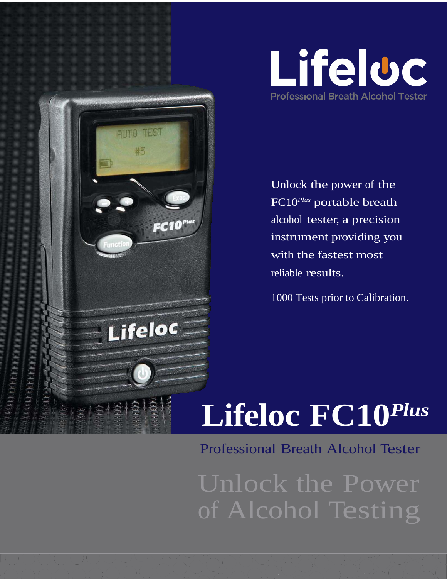

Unlock the power of the FC10 *Plus* portable breath alcohol tester, a precision instrument providing you with the fastest most reliable results.

ALITO TEST

#5

Lifeloc

 $FC10$ <sup>rius</sup>

m k

1000 Tests prior to Calibration.

## **Lifeloc FC10** *Plus*

Professional Breath Alcohol Tester

Unlock the Power of Alcohol Testing